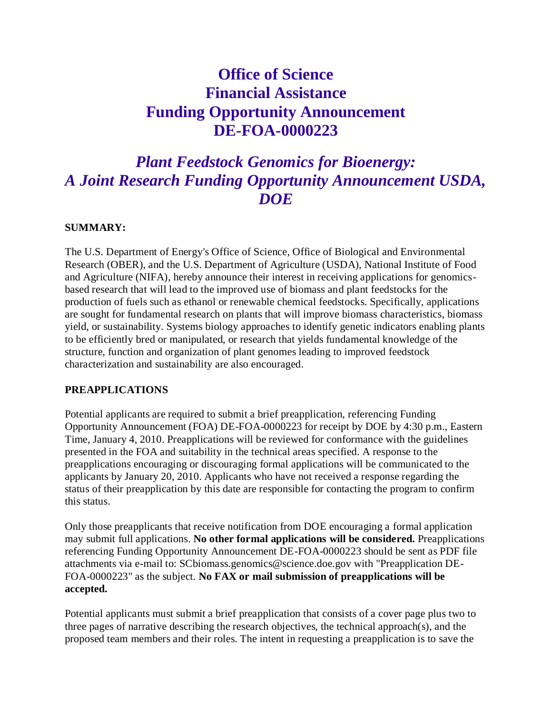# **Office of Science Financial Assistance Funding Opportunity Announcement DE-FOA-0000223**

# *Plant Feedstock Genomics for Bioenergy: A Joint Research Funding Opportunity Announcement USDA, DOE*

#### **SUMMARY:**

The U.S. Department of Energy's Office of Science, Office of Biological and Environmental Research (OBER), and the U.S. Department of Agriculture (USDA), National Institute of Food and Agriculture (NIFA), hereby announce their interest in receiving applications for genomicsbased research that will lead to the improved use of biomass and plant feedstocks for the production of fuels such as ethanol or renewable chemical feedstocks. Specifically, applications are sought for fundamental research on plants that will improve biomass characteristics, biomass yield, or sustainability. Systems biology approaches to identify genetic indicators enabling plants to be efficiently bred or manipulated, or research that yields fundamental knowledge of the structure, function and organization of plant genomes leading to improved feedstock characterization and sustainability are also encouraged.

#### **PREAPPLICATIONS**

Potential applicants are required to submit a brief preapplication, referencing Funding Opportunity Announcement (FOA) DE-FOA-0000223 for receipt by DOE by 4:30 p.m., Eastern Time, January 4, 2010. Preapplications will be reviewed for conformance with the guidelines presented in the FOA and suitability in the technical areas specified. A response to the preapplications encouraging or discouraging formal applications will be communicated to the applicants by January 20, 2010. Applicants who have not received a response regarding the status of their preapplication by this date are responsible for contacting the program to confirm this status.

Only those preapplicants that receive notification from DOE encouraging a formal application may submit full applications. **No other formal applications will be considered.** Preapplications referencing Funding Opportunity Announcement DE-FOA-0000223 should be sent as PDF file attachments via e-mail to: SCbiomass.genomics@science.doe.gov with "Preapplication DE-FOA-0000223" as the subject. **No FAX or mail submission of preapplications will be accepted.**

Potential applicants must submit a brief preapplication that consists of a cover page plus two to three pages of narrative describing the research objectives, the technical approach(s), and the proposed team members and their roles. The intent in requesting a preapplication is to save the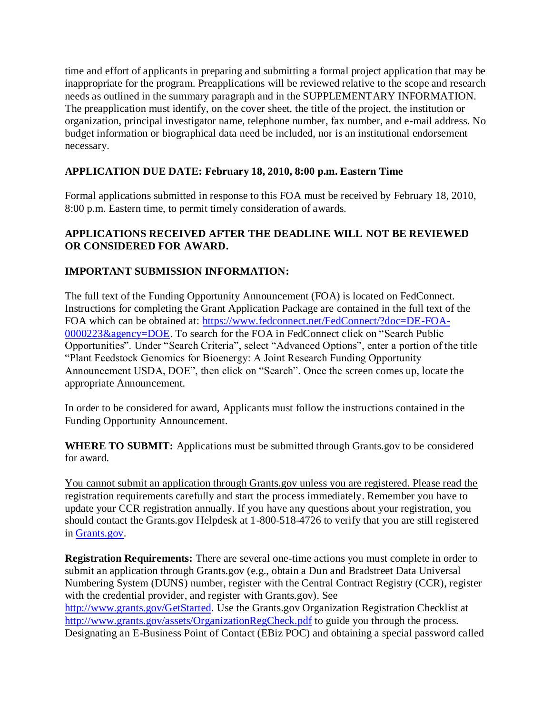time and effort of applicants in preparing and submitting a formal project application that may be inappropriate for the program. Preapplications will be reviewed relative to the scope and research needs as outlined in the summary paragraph and in the SUPPLEMENTARY INFORMATION. The preapplication must identify, on the cover sheet, the title of the project, the institution or organization, principal investigator name, telephone number, fax number, and e-mail address. No budget information or biographical data need be included, nor is an institutional endorsement necessary.

# **APPLICATION DUE DATE: February 18, 2010, 8:00 p.m. Eastern Time**

Formal applications submitted in response to this FOA must be received by February 18, 2010, 8:00 p.m. Eastern time, to permit timely consideration of awards.

### **APPLICATIONS RECEIVED AFTER THE DEADLINE WILL NOT BE REVIEWED OR CONSIDERED FOR AWARD.**

# **IMPORTANT SUBMISSION INFORMATION:**

The full text of the Funding Opportunity Announcement (FOA) is located on FedConnect. Instructions for completing the Grant Application Package are contained in the full text of the FOA which can be obtained at: [https://www.fedconnect.net/FedConnect/?doc=DE-FOA-](https://www.fedconnect.net/FedConnect/?doc=DE-FOA-0000223&agency=DOE)[0000223&agency=DOE.](https://www.fedconnect.net/FedConnect/?doc=DE-FOA-0000223&agency=DOE) To search for the FOA in FedConnect click on "Search Public Opportunities". Under "Search Criteria", select "Advanced Options", enter a portion of the title "Plant Feedstock Genomics for Bioenergy: A Joint Research Funding Opportunity Announcement USDA, DOE", then click on "Search". Once the screen comes up, locate the appropriate Announcement.

In order to be considered for award, Applicants must follow the instructions contained in the Funding Opportunity Announcement.

**WHERE TO SUBMIT:** Applications must be submitted through Grants.gov to be considered for award.

You cannot submit an application through Grants.gov unless you are registered. Please read the registration requirements carefully and start the process immediately. Remember you have to update your CCR registration annually. If you have any questions about your registration, you should contact the Grants.gov Helpdesk at 1-800-518-4726 to verify that you are still registered in [Grants.gov.](http://www.grants.gov/)

**Registration Requirements:** There are several one-time actions you must complete in order to submit an application through Grants.gov (e.g., obtain a Dun and Bradstreet Data Universal Numbering System (DUNS) number, register with the Central Contract Registry (CCR), register with the credential provider, and register with Grants.gov). See [http://www.grants.gov/GetStarted.](http://www.grants.gov/GetStarted) Use the Grants.gov Organization Registration Checklist at <http://www.grants.gov/assets/OrganizationRegCheck.pdf> to guide you through the process. Designating an E-Business Point of Contact (EBiz POC) and obtaining a special password called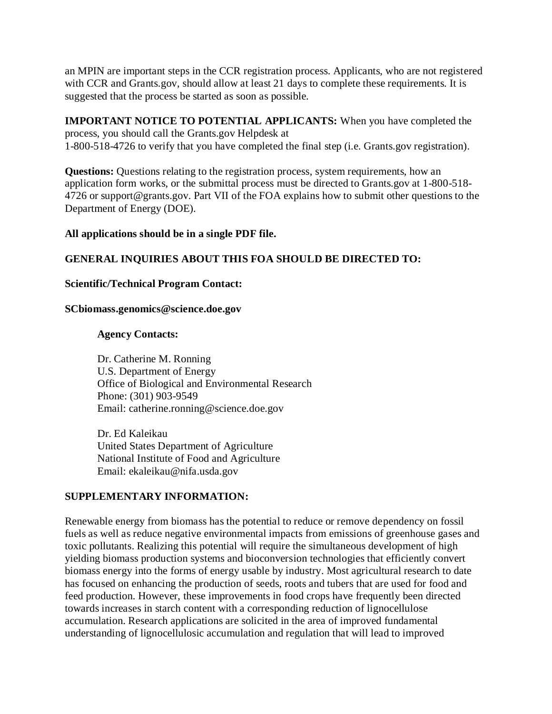an MPIN are important steps in the CCR registration process. Applicants, who are not registered with CCR and Grants.gov, should allow at least 21 days to complete these requirements. It is suggested that the process be started as soon as possible.

**IMPORTANT NOTICE TO POTENTIAL APPLICANTS:** When you have completed the process, you should call the Grants.gov Helpdesk at 1-800-518-4726 to verify that you have completed the final step (i.e. Grants.gov registration).

**Questions:** Questions relating to the registration process, system requirements, how an application form works, or the submittal process must be directed to Grants.gov at 1-800-518- 4726 or support@grants.gov. Part VII of the FOA explains how to submit other questions to the Department of Energy (DOE).

#### **All applications should be in a single PDF file.**

#### **GENERAL INQUIRIES ABOUT THIS FOA SHOULD BE DIRECTED TO:**

#### **Scientific/Technical Program Contact:**

#### **SCbiomass.genomics@science.doe.gov**

#### **Agency Contacts:**

Dr. Catherine M. Ronning U.S. Department of Energy Office of Biological and Environmental Research Phone: (301) 903-9549 Email: catherine.ronning@science.doe.gov

Dr. Ed Kaleikau United States Department of Agriculture National Institute of Food and Agriculture Email: ekaleikau@nifa.usda.gov

#### **SUPPLEMENTARY INFORMATION:**

Renewable energy from biomass has the potential to reduce or remove dependency on fossil fuels as well as reduce negative environmental impacts from emissions of greenhouse gases and toxic pollutants. Realizing this potential will require the simultaneous development of high yielding biomass production systems and bioconversion technologies that efficiently convert biomass energy into the forms of energy usable by industry. Most agricultural research to date has focused on enhancing the production of seeds, roots and tubers that are used for food and feed production. However, these improvements in food crops have frequently been directed towards increases in starch content with a corresponding reduction of lignocellulose accumulation. Research applications are solicited in the area of improved fundamental understanding of lignocellulosic accumulation and regulation that will lead to improved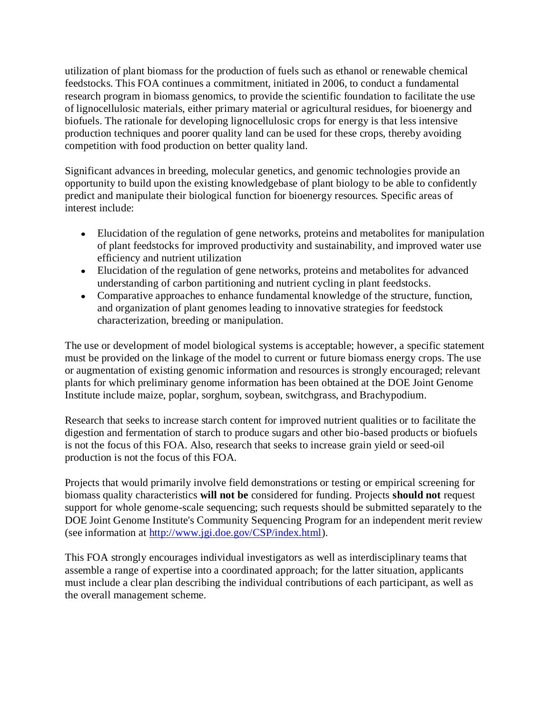utilization of plant biomass for the production of fuels such as ethanol or renewable chemical feedstocks. This FOA continues a commitment, initiated in 2006, to conduct a fundamental research program in biomass genomics, to provide the scientific foundation to facilitate the use of lignocellulosic materials, either primary material or agricultural residues, for bioenergy and biofuels. The rationale for developing lignocellulosic crops for energy is that less intensive production techniques and poorer quality land can be used for these crops, thereby avoiding competition with food production on better quality land.

Significant advances in breeding, molecular genetics, and genomic technologies provide an opportunity to build upon the existing knowledgebase of plant biology to be able to confidently predict and manipulate their biological function for bioenergy resources. Specific areas of interest include:

- Elucidation of the regulation of gene networks, proteins and metabolites for manipulation of plant feedstocks for improved productivity and sustainability, and improved water use efficiency and nutrient utilization
- Elucidation of the regulation of gene networks, proteins and metabolites for advanced understanding of carbon partitioning and nutrient cycling in plant feedstocks.
- Comparative approaches to enhance fundamental knowledge of the structure, function, and organization of plant genomes leading to innovative strategies for feedstock characterization, breeding or manipulation.

The use or development of model biological systems is acceptable; however, a specific statement must be provided on the linkage of the model to current or future biomass energy crops. The use or augmentation of existing genomic information and resources is strongly encouraged; relevant plants for which preliminary genome information has been obtained at the DOE Joint Genome Institute include maize, poplar, sorghum, soybean, switchgrass, and Brachypodium.

Research that seeks to increase starch content for improved nutrient qualities or to facilitate the digestion and fermentation of starch to produce sugars and other bio-based products or biofuels is not the focus of this FOA. Also, research that seeks to increase grain yield or seed-oil production is not the focus of this FOA.

Projects that would primarily involve field demonstrations or testing or empirical screening for biomass quality characteristics **will not be** considered for funding. Projects **should not** request support for whole genome-scale sequencing; such requests should be submitted separately to the DOE Joint Genome Institute's Community Sequencing Program for an independent merit review (see information at [http://www.jgi.doe.gov/CSP/index.html\)](http://www.jgi.doe.gov/CSP/index.html).

This FOA strongly encourages individual investigators as well as interdisciplinary teams that assemble a range of expertise into a coordinated approach; for the latter situation, applicants must include a clear plan describing the individual contributions of each participant, as well as the overall management scheme.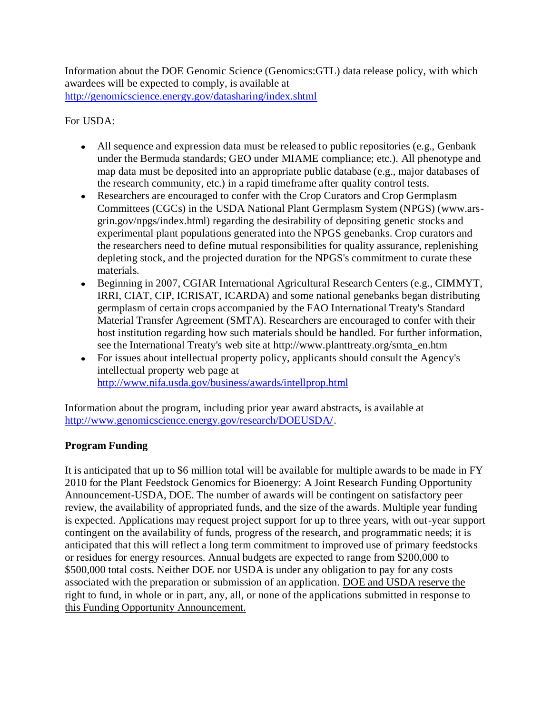Information about the DOE Genomic Science (Genomics:GTL) data release policy, with which awardees will be expected to comply, is available at <http://genomicscience.energy.gov/datasharing/index.shtml>

## For USDA:

- All sequence and expression data must be released to public repositories (e.g., Genbank under the Bermuda standards; GEO under MIAME compliance; etc.). All phenotype and map data must be deposited into an appropriate public database (e.g., major databases of the research community, etc.) in a rapid timeframe after quality control tests.
- Researchers are encouraged to confer with the Crop Curators and Crop Germplasm Committees (CGCs) in the USDA National Plant Germplasm System (NPGS) (www.arsgrin.gov/npgs/index.html) regarding the desirability of depositing genetic stocks and experimental plant populations generated into the NPGS genebanks. Crop curators and the researchers need to define mutual responsibilities for quality assurance, replenishing depleting stock, and the projected duration for the NPGS's commitment to curate these materials.
- Beginning in 2007, CGIAR International Agricultural Research Centers (e.g., CIMMYT, IRRI, CIAT, CIP, ICRISAT, ICARDA) and some national genebanks began distributing germplasm of certain crops accompanied by the FAO International Treaty's Standard Material Transfer Agreement (SMTA). Researchers are encouraged to confer with their host institution regarding how such materials should be handled. For further information, see the International Treaty's web site at http://www.planttreaty.org/smta\_en.htm
- For issues about intellectual property policy, applicants should consult the Agency's intellectual property web page at <http://www.nifa.usda.gov/business/awards/intellprop.html>

Information about the program, including prior year award abstracts, is available at [http://www.genomicscience.energy.gov/research/DOEUSDA/.](http://www.genomicscience.energy.gov/research/DOEUSDA/)

# **Program Funding**

It is anticipated that up to \$6 million total will be available for multiple awards to be made in FY 2010 for the Plant Feedstock Genomics for Bioenergy: A Joint Research Funding Opportunity Announcement-USDA, DOE. The number of awards will be contingent on satisfactory peer review, the availability of appropriated funds, and the size of the awards. Multiple year funding is expected. Applications may request project support for up to three years, with out-year support contingent on the availability of funds, progress of the research, and programmatic needs; it is anticipated that this will reflect a long term commitment to improved use of primary feedstocks or residues for energy resources. Annual budgets are expected to range from \$200,000 to \$500,000 total costs. Neither DOE nor USDA is under any obligation to pay for any costs associated with the preparation or submission of an application. DOE and USDA reserve the right to fund, in whole or in part, any, all, or none of the applications submitted in response to this Funding Opportunity Announcement.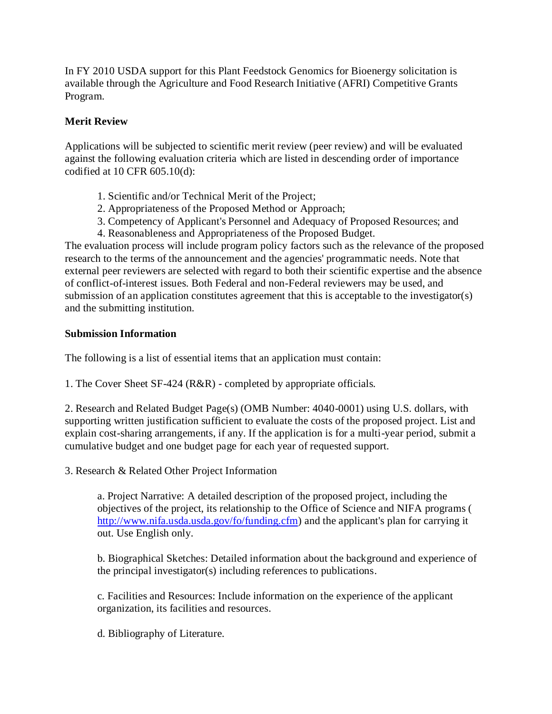In FY 2010 USDA support for this Plant Feedstock Genomics for Bioenergy solicitation is available through the Agriculture and Food Research Initiative (AFRI) Competitive Grants Program.

## **Merit Review**

Applications will be subjected to scientific merit review (peer review) and will be evaluated against the following evaluation criteria which are listed in descending order of importance codified at 10 CFR 605.10(d):

- 1. Scientific and/or Technical Merit of the Project;
- 2. Appropriateness of the Proposed Method or Approach;
- 3. Competency of Applicant's Personnel and Adequacy of Proposed Resources; and
- 4. Reasonableness and Appropriateness of the Proposed Budget.

The evaluation process will include program policy factors such as the relevance of the proposed research to the terms of the announcement and the agencies' programmatic needs. Note that external peer reviewers are selected with regard to both their scientific expertise and the absence of conflict-of-interest issues. Both Federal and non-Federal reviewers may be used, and submission of an application constitutes agreement that this is acceptable to the investigator(s) and the submitting institution.

# **Submission Information**

The following is a list of essential items that an application must contain:

1. The Cover Sheet SF-424 (R&R) - completed by appropriate officials.

2. Research and Related Budget Page(s) (OMB Number: 4040-0001) using U.S. dollars, with supporting written justification sufficient to evaluate the costs of the proposed project. List and explain cost-sharing arrangements, if any. If the application is for a multi-year period, submit a cumulative budget and one budget page for each year of requested support.

3. Research & Related Other Project Information

a. Project Narrative: A detailed description of the proposed project, including the objectives of the project, its relationship to the Office of Science and NIFA programs [\(](http://www.nifa.usda.usda.gov/fo/funding.cfm) [http://www.nifa.usda.usda.gov/fo/funding.cfm\)](http://www.nifa.usda.usda.gov/fo/funding.cfm) and the applicant's plan for carrying it out. Use English only.

b. Biographical Sketches: Detailed information about the background and experience of the principal investigator(s) including references to publications.

c. Facilities and Resources: Include information on the experience of the applicant organization, its facilities and resources.

d. Bibliography of Literature.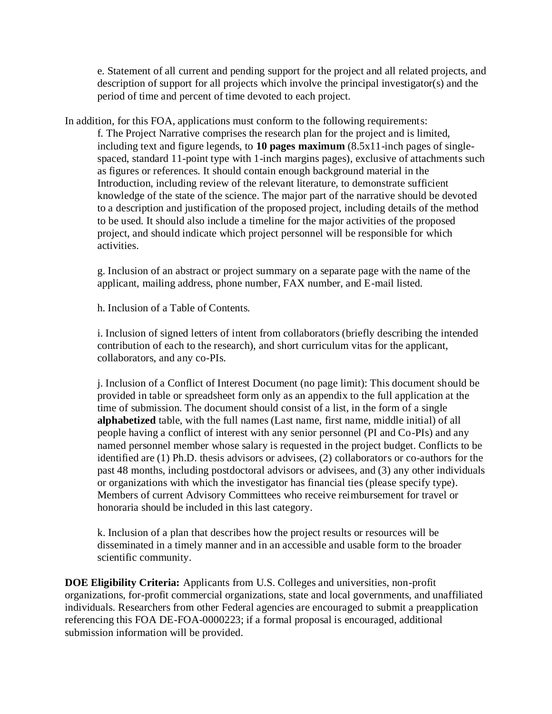e. Statement of all current and pending support for the project and all related projects, and description of support for all projects which involve the principal investigator(s) and the period of time and percent of time devoted to each project.

In addition, for this FOA, applications must conform to the following requirements:

f. The Project Narrative comprises the research plan for the project and is limited, including text and figure legends, to **10 pages maximum** (8.5x11-inch pages of singlespaced, standard 11-point type with 1-inch margins pages), exclusive of attachments such as figures or references. It should contain enough background material in the Introduction, including review of the relevant literature, to demonstrate sufficient knowledge of the state of the science. The major part of the narrative should be devoted to a description and justification of the proposed project, including details of the method to be used. It should also include a timeline for the major activities of the proposed project, and should indicate which project personnel will be responsible for which activities.

g. Inclusion of an abstract or project summary on a separate page with the name of the applicant, mailing address, phone number, FAX number, and E-mail listed.

h. Inclusion of a Table of Contents.

i. Inclusion of signed letters of intent from collaborators (briefly describing the intended contribution of each to the research), and short curriculum vitas for the applicant, collaborators, and any co-PIs.

j. Inclusion of a Conflict of Interest Document (no page limit): This document should be provided in table or spreadsheet form only as an appendix to the full application at the time of submission. The document should consist of a list, in the form of a single **alphabetized** table, with the full names (Last name, first name, middle initial) of all people having a conflict of interest with any senior personnel (PI and Co-PIs) and any named personnel member whose salary is requested in the project budget. Conflicts to be identified are (1) Ph.D. thesis advisors or advisees, (2) collaborators or co-authors for the past 48 months, including postdoctoral advisors or advisees, and (3) any other individuals or organizations with which the investigator has financial ties (please specify type). Members of current Advisory Committees who receive reimbursement for travel or honoraria should be included in this last category.

k. Inclusion of a plan that describes how the project results or resources will be disseminated in a timely manner and in an accessible and usable form to the broader scientific community.

**DOE Eligibility Criteria:** Applicants from U.S. Colleges and universities, non-profit organizations, for-profit commercial organizations, state and local governments, and unaffiliated individuals. Researchers from other Federal agencies are encouraged to submit a preapplication referencing this FOA DE-FOA-0000223; if a formal proposal is encouraged, additional submission information will be provided.